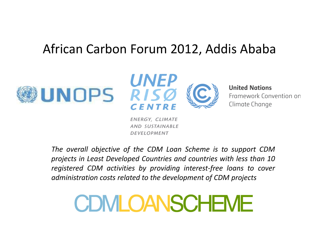## African Carbon Forum 2012, Addis Ababa





**United Nations** Framework Convention on

Climate Change

ENERGY, CLIMATE AND SUSTAINABLE **DEVELOPMENT** 

*The overall objective of the CDM Loan Scheme is to support CDM projects in Least Developed Countries and countries with less than 10 registered CDM activities by providing interest-free loans to cover administration costs related to the development of CDM projects*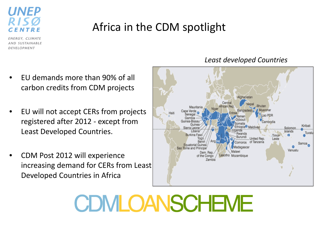

## Africa in the CDM spotlight

ENERGY, CLIMATE AND SUSTAINABLE DEVELOPMENT

- EU demands more than 90% of all carbon credits from CDM projects
- EU will not accept CERs from projects registered after 2012 - except from Least Developed Countries.
- CDM Post 2012 will experience increasing demand for CERs from Least Developed Countries in Africa



#### *Least developed Countries*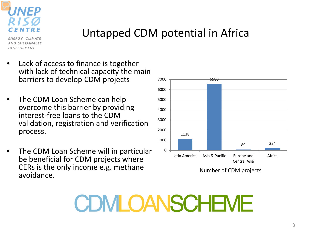

## Untapped CDM potential in Africa

ENERGY, CLIMATE AND SUSTAINABLE **DEVELOPMENT** 

- Lack of access to finance is together with lack of technical capacity the main barriers to develop CDM projects
- The CDM Loan Scheme can help overcome this barrier by providing interest-free loans to the CDM validation, registration and verification process.
- The CDM Loan Scheme will in particular be beneficial for CDM projects where CERs is the only income e.g. methane avoidance.



Number of CDM projects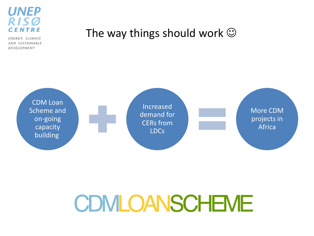

ENERGY, CLIMATE AND SUSTAINABLE DEVELOPMENT

### The way things should work  $\odot$

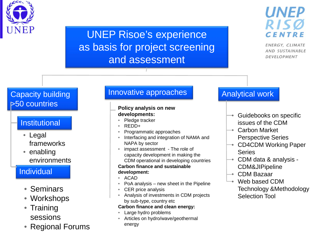

### UNEP Risoe's experience as basis for project screening and assessment



ENERGY, CLIMATE AND SUSTAINABLE DEVELOPMENT

### Capacity building >50 countries

#### **Institutional**

- Legal frameworks
- enabling environments

#### Individual

- **Seminars**
- Workshops
- Training sessions
- Regional Forums

### Innovative approaches **Analytical work**

#### **Policy analysis on new developments:**

- Pledge tracker
- REDD+
- Programmatic approaches
- Interfacing and integration of NAMA and NAPA by sector
- impact assessment The role of capacity development in making the CDM operational in developing countries

#### **Carbon finance and sustainable development:**

- ACAD
- PoA analysis new sheet in the Pipeline
- CER price analysis
- Analysis of investments in CDM projects by sub-type, country etc

#### **Carbon finance and clean energy:**

- Large hydro problems
- Articles on hydro/wave/geothermal energy

- Guidebooks on specific issues of the CDM
- Carbon Market Perspective Series
- CD4CDM Working Paper Series
- CDM data & analysis CDM&JIPipeline
- CDM Bazaar
- Web based CDM Technology &Methodology Selection Tool